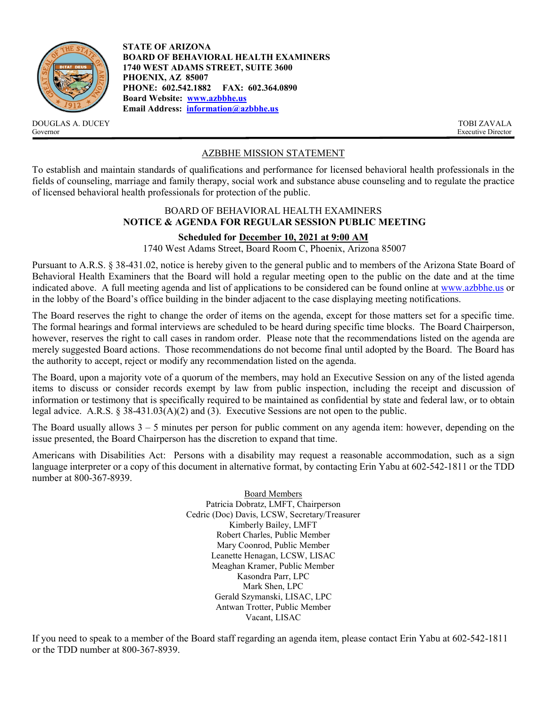

DOUGLAS A. DUCEY TOBI ZAVALA<br>Governor Executive Director Governor Executive Director

**STATE OF ARIZONA BOARD OF BEHAVIORAL HEALTH EXAMINERS 1740 WEST ADAMS STREET, SUITE 3600 PHOENIX, AZ 85007 PHONE: 602.542.1882 FAX: 602.364.0890 Board Website: [www.azbbhe.us](http://www.azbbhe.us/) Email Address: [information@azbbhe.us](mailto:information@azbbhe.us)**

## AZBBHE MISSION STATEMENT

To establish and maintain standards of qualifications and performance for licensed behavioral health professionals in the fields of counseling, marriage and family therapy, social work and substance abuse counseling and to regulate the practice of licensed behavioral health professionals for protection of the public.

## BOARD OF BEHAVIORAL HEALTH EXAMINERS **NOTICE & AGENDA FOR REGULAR SESSION PUBLIC MEETING**

## **Scheduled for December 10, 2021 at 9:00 AM**

1740 West Adams Street, Board Room C, Phoenix, Arizona 85007

Pursuant to A.R.S. § 38-431.02, notice is hereby given to the general public and to members of the Arizona State Board of Behavioral Health Examiners that the Board will hold a regular meeting open to the public on the date and at the time indicated above. A full meeting agenda and list of applications to be considered can be found online at [www.azbbhe.us](http://www.azbbhe.us/) or in the lobby of the Board's office building in the binder adjacent to the case displaying meeting notifications.

The Board reserves the right to change the order of items on the agenda, except for those matters set for a specific time. The formal hearings and formal interviews are scheduled to be heard during specific time blocks. The Board Chairperson, however, reserves the right to call cases in random order. Please note that the recommendations listed on the agenda are merely suggested Board actions. Those recommendations do not become final until adopted by the Board. The Board has the authority to accept, reject or modify any recommendation listed on the agenda.

The Board, upon a majority vote of a quorum of the members, may hold an Executive Session on any of the listed agenda items to discuss or consider records exempt by law from public inspection, including the receipt and discussion of information or testimony that is specifically required to be maintained as confidential by state and federal law, or to obtain legal advice. A.R.S. § 38-431.03(A)(2) and (3). Executive Sessions are not open to the public.

The Board usually allows 3 – 5 minutes per person for public comment on any agenda item: however, depending on the issue presented, the Board Chairperson has the discretion to expand that time.

Americans with Disabilities Act: Persons with a disability may request a reasonable accommodation, such as a sign language interpreter or a copy of this document in alternative format, by contacting Erin Yabu at 602-542-1811 or the TDD number at 800-367-8939.

> Board Members Patricia Dobratz, LMFT, Chairperson Cedric (Doc) Davis, LCSW, Secretary/Treasurer Kimberly Bailey, LMFT Robert Charles, Public Member Mary Coonrod, Public Member Leanette Henagan, LCSW, LISAC Meaghan Kramer, Public Member Kasondra Parr, LPC Mark Shen, LPC Gerald Szymanski, LISAC, LPC Antwan Trotter, Public Member Vacant, LISAC

If you need to speak to a member of the Board staff regarding an agenda item, please contact Erin Yabu at 602-542-1811 or the TDD number at 800-367-8939.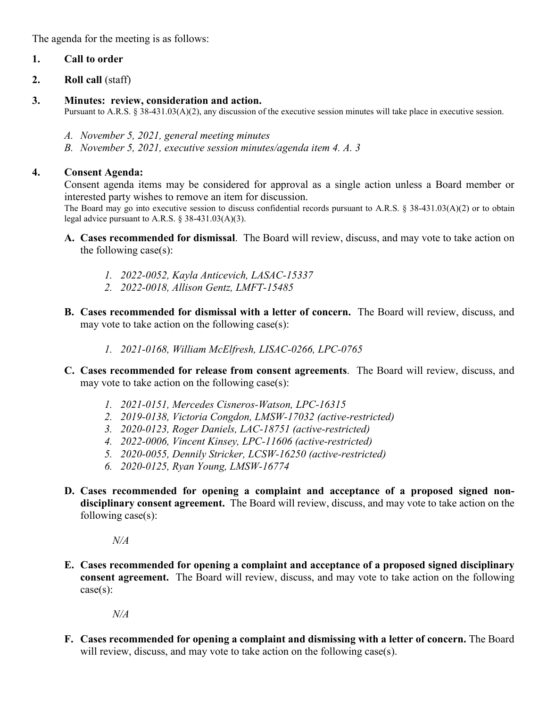The agenda for the meeting is as follows:

## **1. Call to order**

**2. Roll call** (staff)

### **3. Minutes: review, consideration and action.**

Pursuant to A.R.S. § 38-431.03(A)(2), any discussion of the executive session minutes will take place in executive session.

- *A. November 5, 2021, general meeting minutes*
- *B. November 5, 2021, executive session minutes/agenda item 4. A. 3*

## **4. Consent Agenda:**

Consent agenda items may be considered for approval as a single action unless a Board member or interested party wishes to remove an item for discussion.

The Board may go into executive session to discuss confidential records pursuant to A.R.S. § 38-431.03(A)(2) or to obtain legal advice pursuant to A.R.S. § 38-431.03(A)(3).

- **A. Cases recommended for dismissal**. The Board will review, discuss, and may vote to take action on the following case(s):
	- *1. 2022-0052, Kayla Anticevich, LASAC-15337*
	- *2. 2022-0018, Allison Gentz, LMFT-15485*
- **B. Cases recommended for dismissal with a letter of concern.** The Board will review, discuss, and may vote to take action on the following case(s):
	- *1. 2021-0168, William McElfresh, LISAC-0266, LPC-0765*
- **C. Cases recommended for release from consent agreements**. The Board will review, discuss, and may vote to take action on the following case(s):
	- *1. 2021-0151, Mercedes Cisneros-Watson, LPC-16315*
	- *2. 2019-0138, Victoria Congdon, LMSW-17032 (active-restricted)*
	- *3. 2020-0123, Roger Daniels, LAC-18751 (active-restricted)*
	- *4. 2022-0006, Vincent Kinsey, LPC-11606 (active-restricted)*
	- *5. 2020-0055, Dennily Stricker, LCSW-16250 (active-restricted)*
	- *6. 2020-0125, Ryan Young, LMSW-16774*
- **D. Cases recommended for opening a complaint and acceptance of a proposed signed nondisciplinary consent agreement.** The Board will review, discuss, and may vote to take action on the following case(s):

*N/A*

**E. Cases recommended for opening a complaint and acceptance of a proposed signed disciplinary consent agreement.** The Board will review, discuss, and may vote to take action on the following case(s):

*N/A*

**F. Cases recommended for opening a complaint and dismissing with a letter of concern.** The Board will review, discuss, and may vote to take action on the following case(s).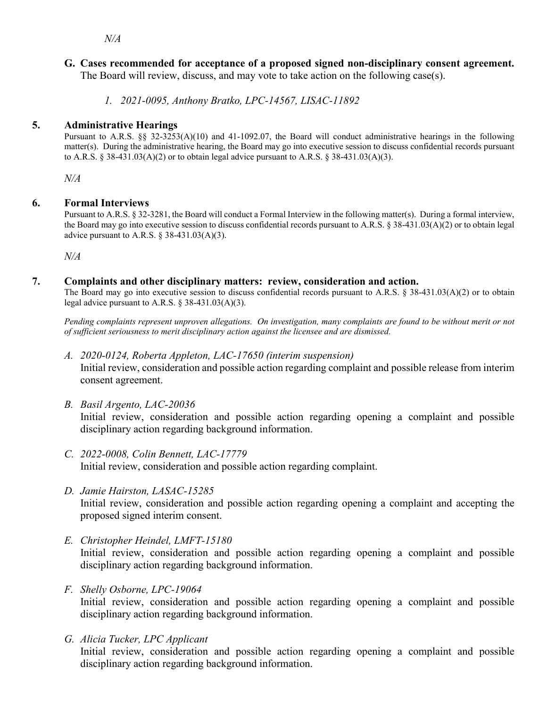**G. Cases recommended for acceptance of a proposed signed non-disciplinary consent agreement.**  The Board will review, discuss, and may vote to take action on the following case(s).

*1. 2021-0095, Anthony Bratko, LPC-14567, LISAC-11892*

## **5. Administrative Hearings**

Pursuant to A.R.S. §§ 32-3253(A)(10) and 41-1092.07, the Board will conduct administrative hearings in the following matter(s). During the administrative hearing, the Board may go into executive session to discuss confidential records pursuant to A.R.S. § 38-431.03(A)(2) or to obtain legal advice pursuant to A.R.S. § 38-431.03(A)(3).

*N/A*

## **6. Formal Interviews**

Pursuant to A.R.S. § 32-3281, the Board will conduct a Formal Interview in the following matter(s).During a formal interview, the Board may go into executive session to discuss confidential records pursuant to A.R.S. § 38-431.03(A)(2) or to obtain legal advice pursuant to A.R.S. § 38-431.03(A)(3).

 *N/A*

## **7. Complaints and other disciplinary matters: review, consideration and action.**

The Board may go into executive session to discuss confidential records pursuant to A.R.S. § 38-431.03(A)(2) or to obtain legal advice pursuant to A.R.S. § 38-431.03(A)(3).

*Pending complaints represent unproven allegations. On investigation, many complaints are found to be without merit or not of sufficient seriousness to merit disciplinary action against the licensee and are dismissed.*

- *A. 2020-0124, Roberta Appleton, LAC-17650 (interim suspension)* Initial review, consideration and possible action regarding complaint and possible release from interim consent agreement.
- *B. Basil Argento, LAC-20036* Initial review, consideration and possible action regarding opening a complaint and possible disciplinary action regarding background information.
- *C. 2022-0008, Colin Bennett, LAC-17779* Initial review, consideration and possible action regarding complaint.
- *D. Jamie Hairston, LASAC-15285* Initial review, consideration and possible action regarding opening a complaint and accepting the proposed signed interim consent.
- *E. Christopher Heindel, LMFT-15180* Initial review, consideration and possible action regarding opening a complaint and possible disciplinary action regarding background information.
- *F. Shelly Osborne, LPC-19064* Initial review, consideration and possible action regarding opening a complaint and possible disciplinary action regarding background information.
- *G. Alicia Tucker, LPC Applicant*

Initial review, consideration and possible action regarding opening a complaint and possible disciplinary action regarding background information.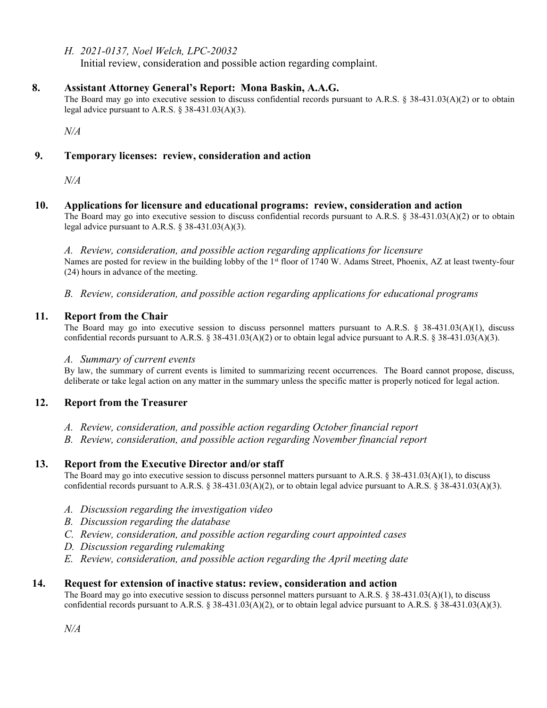### *H. 2021-0137, Noel Welch, LPC-20032*

Initial review, consideration and possible action regarding complaint.

#### **8. Assistant Attorney General's Report: Mona Baskin, A.A.G.**

The Board may go into executive session to discuss confidential records pursuant to A.R.S. § 38-431.03(A)(2) or to obtain legal advice pursuant to A.R.S.  $\S$  38-431.03(A)(3).

*N/A*

### **9. Temporary licenses: review, consideration and action**

*N/A*

## **10. Applications for licensure and educational programs: review, consideration and action**

The Board may go into executive session to discuss confidential records pursuant to A.R.S. § 38-431.03(A)(2) or to obtain legal advice pursuant to A.R.S.  $\S$  38-431.03(A)(3).

*A. Review, consideration, and possible action regarding applications for licensure* Names are posted for review in the building lobby of the 1<sup>st</sup> floor of 1740 W. Adams Street, Phoenix, AZ at least twenty-four (24) hours in advance of the meeting.

*B. Review, consideration, and possible action regarding applications for educational programs*

#### **11. Report from the Chair**

The Board may go into executive session to discuss personnel matters pursuant to A.R.S. § 38-431.03(A)(1), discuss confidential records pursuant to A.R.S. § 38-431.03(A)(2) or to obtain legal advice pursuant to A.R.S. § 38-431.03(A)(3).

#### *A. Summary of current events*

By law, the summary of current events is limited to summarizing recent occurrences. The Board cannot propose, discuss, deliberate or take legal action on any matter in the summary unless the specific matter is properly noticed for legal action.

#### **12. Report from the Treasurer**

- *A. Review, consideration, and possible action regarding October financial report*
- *B. Review, consideration, and possible action regarding November financial report*

#### **13. Report from the Executive Director and/or staff**

The Board may go into executive session to discuss personnel matters pursuant to A.R.S. § 38-431.03(A)(1), to discuss confidential records pursuant to A.R.S. § 38-431.03(A)(2), or to obtain legal advice pursuant to A.R.S. § 38-431.03(A)(3).

- *A. Discussion regarding the investigation video*
- *B. Discussion regarding the database*
- *C. Review, consideration, and possible action regarding court appointed cases*
- *D. Discussion regarding rulemaking*
- *E. Review, consideration, and possible action regarding the April meeting date*

#### **14. Request for extension of inactive status: review, consideration and action**

The Board may go into executive session to discuss personnel matters pursuant to A.R.S. § 38-431.03(A)(1), to discuss confidential records pursuant to A.R.S. § 38-431.03(A)(2), or to obtain legal advice pursuant to A.R.S. § 38-431.03(A)(3).

*N/A*